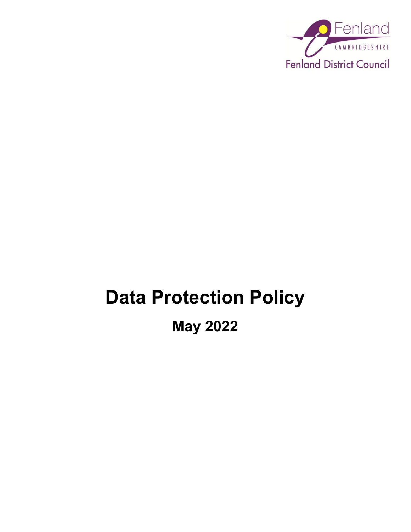

# **Data Protection Policy**

**May 2022**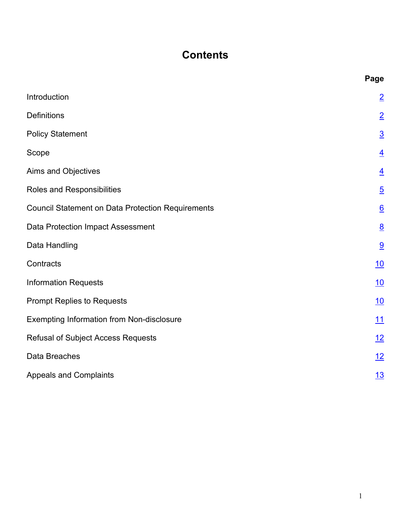# **Contents**

|                                                          | Page            |
|----------------------------------------------------------|-----------------|
| Introduction                                             | $\overline{2}$  |
| <b>Definitions</b>                                       | $\overline{2}$  |
| <b>Policy Statement</b>                                  | $\overline{3}$  |
| Scope                                                    | $\overline{4}$  |
| Aims and Objectives                                      | $\overline{4}$  |
| Roles and Responsibilities                               | $\overline{5}$  |
| <b>Council Statement on Data Protection Requirements</b> | $\underline{6}$ |
| Data Protection Impact Assessment                        | $\underline{8}$ |
| Data Handling                                            | 9               |
| Contracts                                                | 10              |
| <b>Information Requests</b>                              | 10              |
| <b>Prompt Replies to Requests</b>                        | 10              |
| Exempting Information from Non-disclosure                | 11              |
| <b>Refusal of Subject Access Requests</b>                | <u>12</u>       |
| Data Breaches                                            | <u> 12</u>      |
| <b>Appeals and Complaints</b>                            | 13              |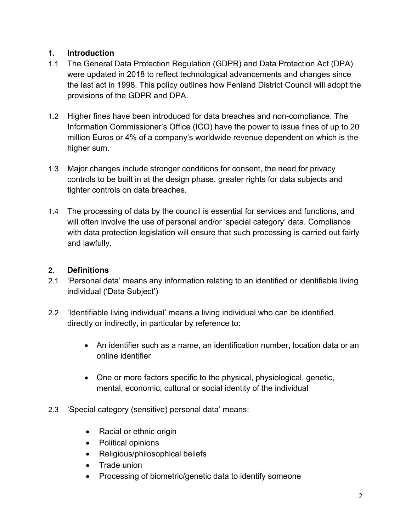## <span id="page-2-0"></span>**1. Introduction**

- 1.1 The General Data Protection Regulation (GDPR) and Data Protection Act (DPA) were updated in 2018 to reflect technological advancements and changes since the last act in 1998. This policy outlines how Fenland District Council will adopt the provisions of the GDPR and DPA.
- 1.2 Higher fines have been introduced for data breaches and non-compliance. The Information Commissioner's Office (ICO) have the power to issue fines of up to 20 million Euros or 4% of a company's worldwide revenue dependent on which is the higher sum.
- 1.3 Major changes include stronger conditions for consent, the need for privacy controls to be built in at the design phase, greater rights for data subjects and tighter controls on data breaches.
- 1.4 The processing of data by the council is essential for services and functions, and will often involve the use of personal and/or 'special category' data. Compliance with data protection legislation will ensure that such processing is carried out fairly and lawfully.

# <span id="page-2-1"></span>**2. Definitions**

- 2.1 'Personal data' means any information relating to an identified or identifiable living individual ('Data Subject')
- 2.2 'Identifiable living individual' means a living individual who can be identified, directly or indirectly, in particular by reference to:
	- An identifier such as a name, an identification number, location data or an online identifier
	- One or more factors specific to the physical, physiological, genetic, mental, economic, cultural or social identity of the individual
- 2.3 'Special category (sensitive) personal data' means:
	- Racial or ethnic origin
	- Political opinions
	- Religious/philosophical beliefs
	- Trade union
	- Processing of biometric/genetic data to identify someone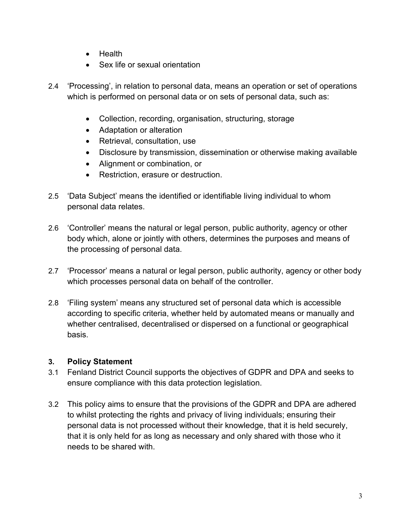- Health
- Sex life or sexual orientation
- 2.4 'Processing', in relation to personal data, means an operation or set of operations which is performed on personal data or on sets of personal data, such as:
	- Collection, recording, organisation, structuring, storage
	- Adaptation or alteration
	- Retrieval, consultation, use
	- Disclosure by transmission, dissemination or otherwise making available
	- Alignment or combination, or
	- Restriction, erasure or destruction.
- 2.5 'Data Subject' means the identified or identifiable living individual to whom personal data relates.
- 2.6 'Controller' means the natural or legal person, public authority, agency or other body which, alone or jointly with others, determines the purposes and means of the processing of personal data.
- 2.7 'Processor' means a natural or legal person, public authority, agency or other body which processes personal data on behalf of the controller.
- 2.8 'Filing system' means any structured set of personal data which is accessible according to specific criteria, whether held by automated means or manually and whether centralised, decentralised or dispersed on a functional or geographical basis.

#### <span id="page-3-0"></span>**3. Policy Statement**

- 3.1 Fenland District Council supports the objectives of GDPR and DPA and seeks to ensure compliance with this data protection legislation.
- 3.2 This policy aims to ensure that the provisions of the GDPR and DPA are adhered to whilst protecting the rights and privacy of living individuals; ensuring their personal data is not processed without their knowledge, that it is held securely, that it is only held for as long as necessary and only shared with those who it needs to be shared with.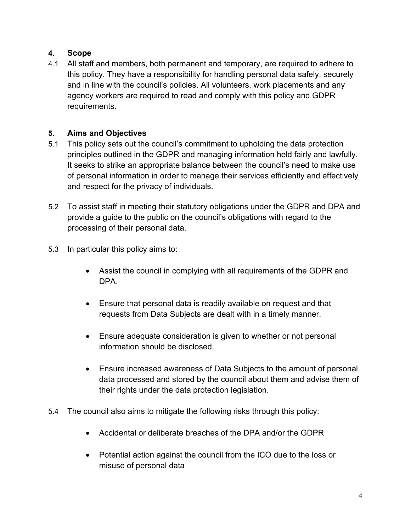# <span id="page-4-0"></span>**4. Scope**

4.1 All staff and members, both permanent and temporary, are required to adhere to this policy. They have a responsibility for handling personal data safely, securely and in line with the council's policies. All volunteers, work placements and any agency workers are required to read and comply with this policy and GDPR requirements.

# <span id="page-4-1"></span>**5. Aims and Objectives**

- 5.1 This policy sets out the council's commitment to upholding the data protection principles outlined in the GDPR and managing information held fairly and lawfully. It seeks to strike an appropriate balance between the council's need to make use of personal information in order to manage their services efficiently and effectively and respect for the privacy of individuals.
- 5.2 To assist staff in meeting their statutory obligations under the GDPR and DPA and provide a guide to the public on the council's obligations with regard to the processing of their personal data.
- 5.3 In particular this policy aims to:
	- Assist the council in complying with all requirements of the GDPR and DPA.
	- Ensure that personal data is readily available on request and that requests from Data Subjects are dealt with in a timely manner.
	- Ensure adequate consideration is given to whether or not personal information should be disclosed.
	- Ensure increased awareness of Data Subjects to the amount of personal data processed and stored by the council about them and advise them of their rights under the data protection legislation.
- 5.4 The council also aims to mitigate the following risks through this policy:
	- Accidental or deliberate breaches of the DPA and/or the GDPR
	- Potential action against the council from the ICO due to the loss or misuse of personal data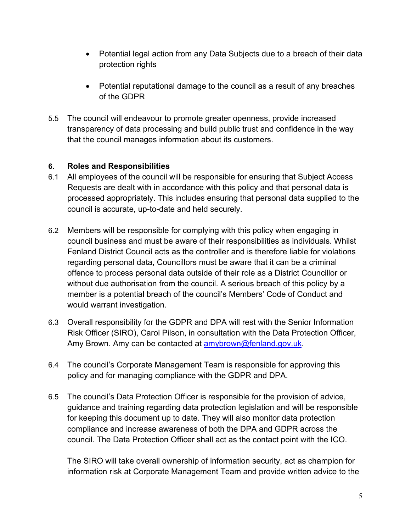- Potential legal action from any Data Subjects due to a breach of their data protection rights
- Potential reputational damage to the council as a result of any breaches of the GDPR
- 5.5 The council will endeavour to promote greater openness, provide increased transparency of data processing and build public trust and confidence in the way that the council manages information about its customers.

#### <span id="page-5-0"></span>**6. Roles and Responsibilities**

- 6.1 All employees of the council will be responsible for ensuring that Subject Access Requests are dealt with in accordance with this policy and that personal data is processed appropriately. This includes ensuring that personal data supplied to the council is accurate, up-to-date and held securely.
- 6.2 Members will be responsible for complying with this policy when engaging in council business and must be aware of their responsibilities as individuals. Whilst Fenland District Council acts as the controller and is therefore liable for violations regarding personal data, Councillors must be aware that it can be a criminal offence to process personal data outside of their role as a District Councillor or without due authorisation from the council. A serious breach of this policy by a member is a potential breach of the council's Members' Code of Conduct and would warrant investigation.
- 6.3 Overall responsibility for the GDPR and DPA will rest with the Senior Information Risk Officer (SIRO), Carol Pilson, in consultation with the Data Protection Officer, Amy Brown. Amy can be contacted at **amybrown@fenland.gov.uk.**
- 6.4 The council's Corporate Management Team is responsible for approving this policy and for managing compliance with the GDPR and DPA.
- 6.5 The council's Data Protection Officer is responsible for the provision of advice, guidance and training regarding data protection legislation and will be responsible for keeping this document up to date. They will also monitor data protection compliance and increase awareness of both the DPA and GDPR across the council. The Data Protection Officer shall act as the contact point with the ICO.

The SIRO will take overall ownership of information security, act as champion for information risk at Corporate Management Team and provide written advice to the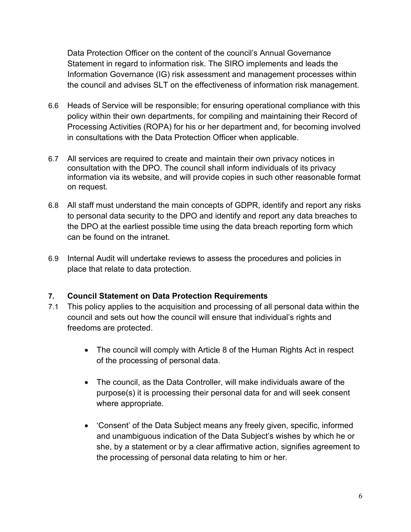Data Protection Officer on the content of the council's Annual Governance Statement in regard to information risk. The SIRO implements and leads the Information Governance (IG) risk assessment and management processes within the council and advises SLT on the effectiveness of information risk management.

- 6.6 Heads of Service will be responsible; for ensuring operational compliance with this policy within their own departments, for compiling and maintaining their Record of Processing Activities (ROPA) for his or her department and, for becoming involved in consultations with the Data Protection Officer when applicable.
- 6.7 All services are required to create and maintain their own privacy notices in consultation with the DPO. The council shall inform individuals of its privacy information via its website, and will provide copies in such other reasonable format on request.
- 6.8 All staff must understand the main concepts of GDPR, identify and report any risks to personal data security to the DPO and identify and report any data breaches to the DPO at the earliest possible time using the data breach reporting form which can be found on the intranet.
- 6.9 Internal Audit will undertake reviews to assess the procedures and policies in place that relate to data protection.

#### <span id="page-6-0"></span>**7. Council Statement on Data Protection Requirements**

- 7.1 This policy applies to the acquisition and processing of all personal data within the council and sets out how the council will ensure that individual's rights and freedoms are protected.
	- The council will comply with Article 8 of the Human Rights Act in respect of the processing of personal data.
	- The council, as the Data Controller, will make individuals aware of the purpose(s) it is processing their personal data for and will seek consent where appropriate.
	- 'Consent' of the Data Subject means any freely given, specific, informed and unambiguous indication of the Data Subject's wishes by which he or she, by a statement or by a clear affirmative action, signifies agreement to the processing of personal data relating to him or her.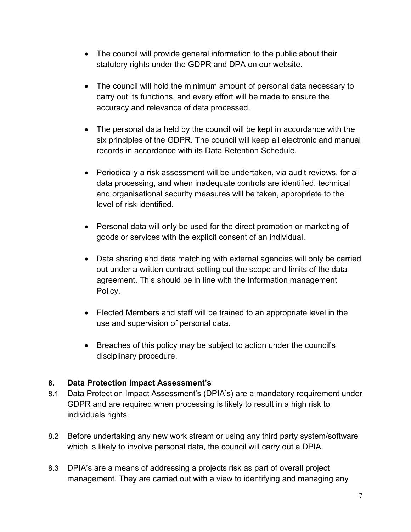- The council will provide general information to the public about their statutory rights under the GDPR and DPA on our website.
- The council will hold the minimum amount of personal data necessary to carry out its functions, and every effort will be made to ensure the accuracy and relevance of data processed.
- The personal data held by the council will be kept in accordance with the six principles of the GDPR. The council will keep all electronic and manual records in accordance with its Data Retention Schedule.
- Periodically a risk assessment will be undertaken, via audit reviews, for all data processing, and when inadequate controls are identified, technical and organisational security measures will be taken, appropriate to the level of risk identified.
- Personal data will only be used for the direct promotion or marketing of goods or services with the explicit consent of an individual.
- Data sharing and data matching with external agencies will only be carried out under a written contract setting out the scope and limits of the data agreement. This should be in line with the Information management Policy.
- Elected Members and staff will be trained to an appropriate level in the use and supervision of personal data.
- Breaches of this policy may be subject to action under the council's disciplinary procedure.

#### <span id="page-7-0"></span>**8. Data Protection Impact Assessment's**

- 8.1 Data Protection Impact Assessment's (DPIA's) are a mandatory requirement under GDPR and are required when processing is likely to result in a high risk to individuals rights.
- 8.2 Before undertaking any new work stream or using any third party system/software which is likely to involve personal data, the council will carry out a DPIA.
- 8.3 DPIA's are a means of addressing a projects risk as part of overall project management. They are carried out with a view to identifying and managing any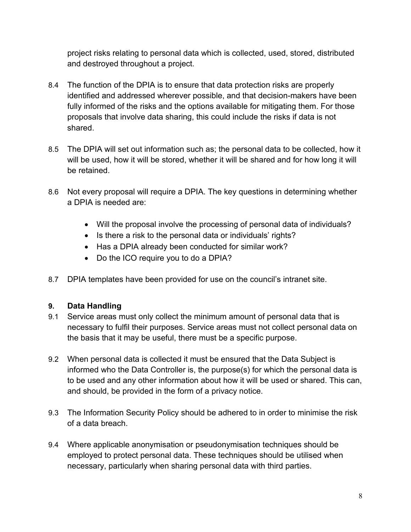project risks relating to personal data which is collected, used, stored, distributed and destroyed throughout a project.

- 8.4 The function of the DPIA is to ensure that data protection risks are properly identified and addressed wherever possible, and that decision-makers have been fully informed of the risks and the options available for mitigating them. For those proposals that involve data sharing, this could include the risks if data is not shared.
- 8.5 The DPIA will set out information such as; the personal data to be collected, how it will be used, how it will be stored, whether it will be shared and for how long it will be retained.
- 8.6 Not every proposal will require a DPIA. The key questions in determining whether a DPIA is needed are:
	- Will the proposal involve the processing of personal data of individuals?
	- Is there a risk to the personal data or individuals' rights?
	- Has a DPIA already been conducted for similar work?
	- Do the ICO require you to do a DPIA?
- 8.7 DPIA templates have been provided for use on the council's intranet site.

## <span id="page-8-0"></span>**9. Data Handling**

- 9.1 Service areas must only collect the minimum amount of personal data that is necessary to fulfil their purposes. Service areas must not collect personal data on the basis that it may be useful, there must be a specific purpose.
- 9.2 When personal data is collected it must be ensured that the Data Subject is informed who the Data Controller is, the purpose(s) for which the personal data is to be used and any other information about how it will be used or shared. This can, and should, be provided in the form of a privacy notice.
- 9.3 The Information Security Policy should be adhered to in order to minimise the risk of a data breach.
- 9.4 Where applicable anonymisation or pseudonymisation techniques should be employed to protect personal data. These techniques should be utilised when necessary, particularly when sharing personal data with third parties.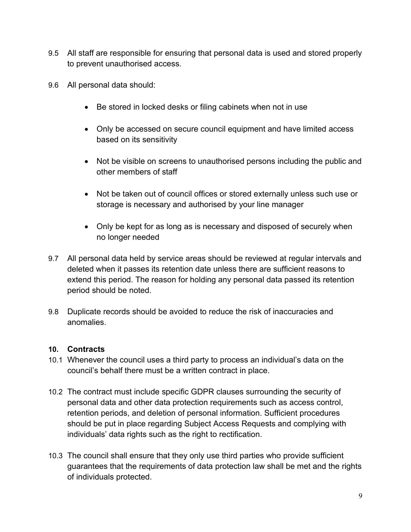- 9.5 All staff are responsible for ensuring that personal data is used and stored properly to prevent unauthorised access.
- 9.6 All personal data should:
	- Be stored in locked desks or filing cabinets when not in use
	- Only be accessed on secure council equipment and have limited access based on its sensitivity
	- Not be visible on screens to unauthorised persons including the public and other members of staff
	- Not be taken out of council offices or stored externally unless such use or storage is necessary and authorised by your line manager
	- Only be kept for as long as is necessary and disposed of securely when no longer needed
- 9.7 All personal data held by service areas should be reviewed at regular intervals and deleted when it passes its retention date unless there are sufficient reasons to extend this period. The reason for holding any personal data passed its retention period should be noted.
- 9.8 Duplicate records should be avoided to reduce the risk of inaccuracies and anomalies.

#### <span id="page-9-0"></span>**10. Contracts**

- 10.1 Whenever the council uses a third party to process an individual's data on the council's behalf there must be a written contract in place.
- 10.2 The contract must include specific GDPR clauses surrounding the security of personal data and other data protection requirements such as access control, retention periods, and deletion of personal information. Sufficient procedures should be put in place regarding Subject Access Requests and complying with individuals' data rights such as the right to rectification.
- 10.3 The council shall ensure that they only use third parties who provide sufficient guarantees that the requirements of data protection law shall be met and the rights of individuals protected.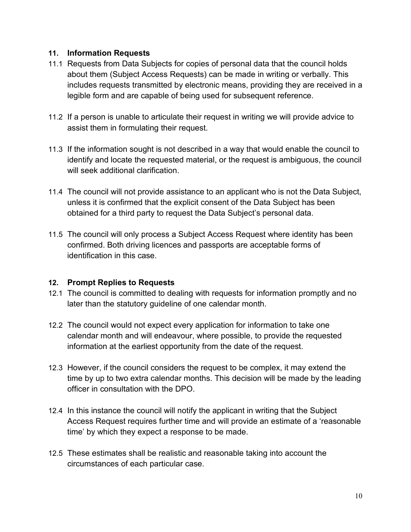#### **11. Information Requests**

- 11.1 Requests from Data Subjects for copies of personal data that the council holds about them (Subject Access Requests) can be made in writing or verbally. This includes requests transmitted by electronic means, providing they are received in a legible form and are capable of being used for subsequent reference.
- 11.2 If a person is unable to articulate their request in writing we will provide advice to assist them in formulating their request.
- 11.3 If the information sought is not described in a way that would enable the council to identify and locate the requested material, or the request is ambiguous, the council will seek additional clarification.
- 11.4 The council will not provide assistance to an applicant who is not the Data Subject, unless it is confirmed that the explicit consent of the Data Subject has been obtained for a third party to request the Data Subject's personal data.
- 11.5 The council will only process a Subject Access Request where identity has been confirmed. Both driving licences and passports are acceptable forms of identification in this case.

#### <span id="page-10-0"></span>**12. Prompt Replies to Requests**

- 12.1 The council is committed to dealing with requests for information promptly and no later than the statutory guideline of one calendar month.
- 12.2 The council would not expect every application for information to take one calendar month and will endeavour, where possible, to provide the requested information at the earliest opportunity from the date of the request.
- 12.3 However, if the council considers the request to be complex, it may extend the time by up to two extra calendar months. This decision will be made by the leading officer in consultation with the DPO.
- 12.4 In this instance the council will notify the applicant in writing that the Subject Access Request requires further time and will provide an estimate of a 'reasonable time' by which they expect a response to be made.
- 12.5 These estimates shall be realistic and reasonable taking into account the circumstances of each particular case.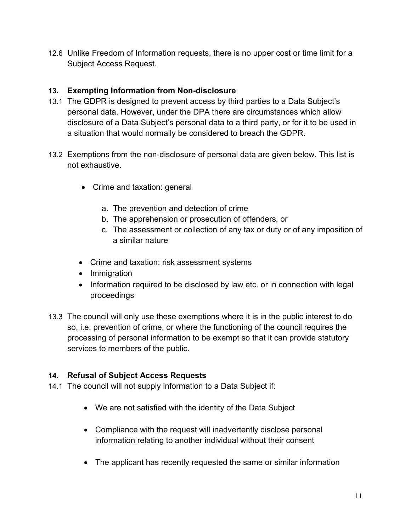12.6 Unlike Freedom of Information requests, there is no upper cost or time limit for a Subject Access Request.

# <span id="page-11-0"></span>**13. Exempting Information from Non-disclosure**

- 13.1 The GDPR is designed to prevent access by third parties to a Data Subject's personal data. However, under the DPA there are circumstances which allow disclosure of a Data Subject's personal data to a third party, or for it to be used in a situation that would normally be considered to breach the GDPR.
- 13.2 Exemptions from the non-disclosure of personal data are given below. This list is not exhaustive.
	- Crime and taxation: general
		- a. The prevention and detection of crime
		- b. The apprehension or prosecution of offenders, or
		- c. The assessment or collection of any tax or duty or of any imposition of a similar nature
	- Crime and taxation: risk assessment systems
	- Immigration
	- Information required to be disclosed by law etc. or in connection with legal proceedings
- 13.3 The council will only use these exemptions where it is in the public interest to do so, i.e. prevention of crime, or where the functioning of the council requires the processing of personal information to be exempt so that it can provide statutory services to members of the public.

## <span id="page-11-1"></span>**14. Refusal of Subject Access Requests**

- 14.1 The council will not supply information to a Data Subject if:
	- We are not satisfied with the identity of the Data Subject
	- Compliance with the request will inadvertently disclose personal information relating to another individual without their consent
	- The applicant has recently requested the same or similar information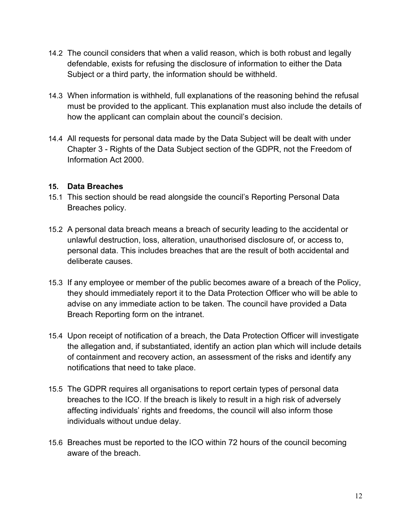- 14.2 The council considers that when a valid reason, which is both robust and legally defendable, exists for refusing the disclosure of information to either the Data Subject or a third party, the information should be withheld.
- 14.3 When information is withheld, full explanations of the reasoning behind the refusal must be provided to the applicant. This explanation must also include the details of how the applicant can complain about the council's decision.
- 14.4 All requests for personal data made by the Data Subject will be dealt with under Chapter 3 - Rights of the Data Subject section of the GDPR, not the Freedom of Information Act 2000.

#### <span id="page-12-0"></span>**15. Data Breaches**

- 15.1 This section should be read alongside the council's Reporting Personal Data Breaches policy.
- 15.2 A personal data breach means a breach of security leading to the accidental or unlawful destruction, loss, alteration, unauthorised disclosure of, or access to, personal data. This includes breaches that are the result of both accidental and deliberate causes.
- 15.3 If any employee or member of the public becomes aware of a breach of the Policy, they should immediately report it to the Data Protection Officer who will be able to advise on any immediate action to be taken. The council have provided a Data Breach Reporting form on the intranet.
- 15.4 Upon receipt of notification of a breach, the Data Protection Officer will investigate the allegation and, if substantiated, identify an action plan which will include details of containment and recovery action, an assessment of the risks and identify any notifications that need to take place.
- 15.5 The GDPR requires all organisations to report certain types of personal data breaches to the ICO. If the breach is likely to result in a high risk of adversely affecting individuals' rights and freedoms, the council will also inform those individuals without undue delay.
- 15.6 Breaches must be reported to the ICO within 72 hours of the council becoming aware of the breach.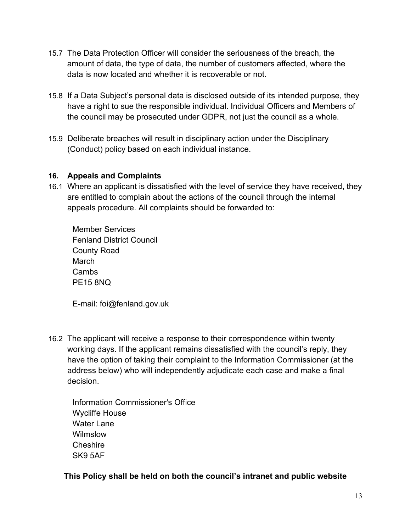- 15.7 The Data Protection Officer will consider the seriousness of the breach, the amount of data, the type of data, the number of customers affected, where the data is now located and whether it is recoverable or not.
- 15.8 If a Data Subject's personal data is disclosed outside of its intended purpose, they have a right to sue the responsible individual. Individual Officers and Members of the council may be prosecuted under GDPR, not just the council as a whole.
- 15.9 Deliberate breaches will result in disciplinary action under the Disciplinary (Conduct) policy based on each individual instance.

#### <span id="page-13-0"></span>**16. Appeals and Complaints**

16.1 Where an applicant is dissatisfied with the level of service they have received, they are entitled to complain about the actions of the council through the internal appeals procedure. All complaints should be forwarded to:

Member Services Fenland District Council County Road March **Cambs** PE15 8NQ

E-mail: foi@fenland.gov.uk

- 16.2 The applicant will receive a response to their correspondence within twenty working days. If the applicant remains dissatisfied with the council's reply, they have the option of taking their complaint to the Information Commissioner (at the address below) who will independently adjudicate each case and make a final decision.
	- Information Commissioner's Office Wycliffe House Water Lane **Wilmslow Cheshire** SK9 5AF

**This Policy shall be held on both the council's intranet and public website**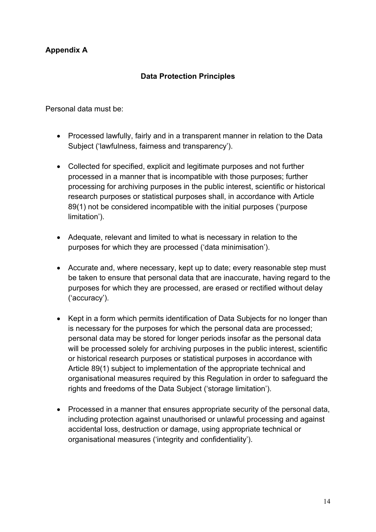# **Appendix A**

#### **Data Protection Principles**

Personal data must be:

- Processed lawfully, fairly and in a transparent manner in relation to the Data Subject ('lawfulness, fairness and transparency').
- Collected for specified, explicit and legitimate purposes and not further processed in a manner that is incompatible with those purposes; further processing for archiving purposes in the public interest, scientific or historical research purposes or statistical purposes shall, in accordance with Article 89(1) not be considered incompatible with the initial purposes ('purpose limitation').
- Adequate, relevant and limited to what is necessary in relation to the purposes for which they are processed ('data minimisation').
- Accurate and, where necessary, kept up to date; every reasonable step must be taken to ensure that personal data that are inaccurate, having regard to the purposes for which they are processed, are erased or rectified without delay ('accuracy').
- Kept in a form which permits identification of Data Subjects for no longer than is necessary for the purposes for which the personal data are processed; personal data may be stored for longer periods insofar as the personal data will be processed solely for archiving purposes in the public interest, scientific or historical research purposes or statistical purposes in accordance with Article 89(1) subject to implementation of the appropriate technical and organisational measures required by this Regulation in order to safeguard the rights and freedoms of the Data Subject ('storage limitation').
- Processed in a manner that ensures appropriate security of the personal data, including protection against unauthorised or unlawful processing and against accidental loss, destruction or damage, using appropriate technical or organisational measures ('integrity and confidentiality').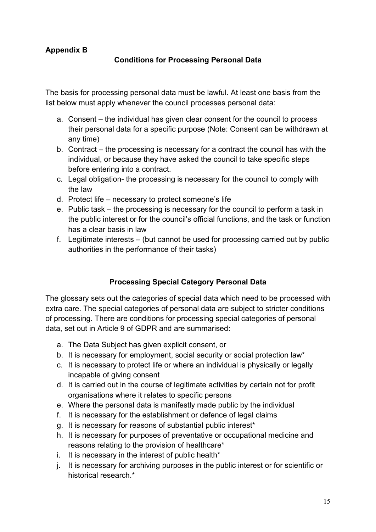# **Appendix B**

#### **Conditions for Processing Personal Data**

The basis for processing personal data must be lawful. At least one basis from the list below must apply whenever the council processes personal data:

- a. Consent the individual has given clear consent for the council to process their personal data for a specific purpose (Note: Consent can be withdrawn at any time)
- b. Contract the processing is necessary for a contract the council has with the individual, or because they have asked the council to take specific steps before entering into a contract.
- c. Legal obligation- the processing is necessary for the council to comply with the law
- d. Protect life necessary to protect someone's life
- e. Public task the processing is necessary for the council to perform a task in the public interest or for the council's official functions, and the task or function has a clear basis in law
- f. Legitimate interests (but cannot be used for processing carried out by public authorities in the performance of their tasks)

# **Processing Special Category Personal Data**

The glossary sets out the categories of special data which need to be processed with extra care. The special categories of personal data are subject to stricter conditions of processing. There are conditions for processing special categories of personal data, set out in Article 9 of GDPR and are summarised:

- a. The Data Subject has given explicit consent, or
- b. It is necessary for employment, social security or social protection law\*
- c. It is necessary to protect life or where an individual is physically or legally incapable of giving consent
- d. It is carried out in the course of legitimate activities by certain not for profit organisations where it relates to specific persons
- e. Where the personal data is manifestly made public by the individual
- f. It is necessary for the establishment or defence of legal claims
- g. It is necessary for reasons of substantial public interest\*
- h. It is necessary for purposes of preventative or occupational medicine and reasons relating to the provision of healthcare\*
- i. It is necessary in the interest of public health\*
- j. It is necessary for archiving purposes in the public interest or for scientific or historical research.\*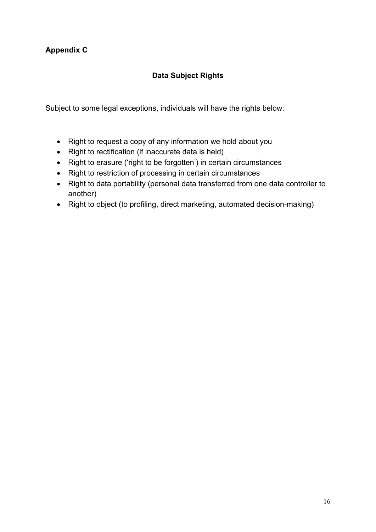# **Appendix C**

# **Data Subject Rights**

Subject to some legal exceptions, individuals will have the rights below:

- Right to request a copy of any information we hold about you
- Right to rectification (if inaccurate data is held)
- Right to erasure ('right to be forgotten') in certain circumstances
- Right to restriction of processing in certain circumstances
- Right to data portability (personal data transferred from one data controller to another)
- Right to object (to profiling, direct marketing, automated decision-making)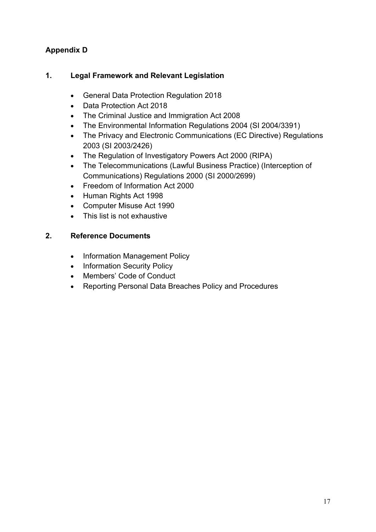# **Appendix D**

# **1. Legal Framework and Relevant Legislation**

- General Data Protection Regulation 2018
- Data Protection Act 2018
- The Criminal Justice and Immigration Act 2008
- The Environmental Information Regulations 2004 (SI 2004/3391)
- The Privacy and Electronic Communications (EC Directive) Regulations 2003 (SI 2003/2426)
- The Regulation of Investigatory Powers Act 2000 (RIPA)
- The Telecommunications (Lawful Business Practice) (Interception of Communications) Regulations 2000 (SI 2000/2699)
- Freedom of Information Act 2000
- Human Rights Act 1998
- Computer Misuse Act 1990
- This list is not exhaustive

#### **2. Reference Documents**

- Information Management Policy
- Information Security Policy
- Members' Code of Conduct
- Reporting Personal Data Breaches Policy and Procedures